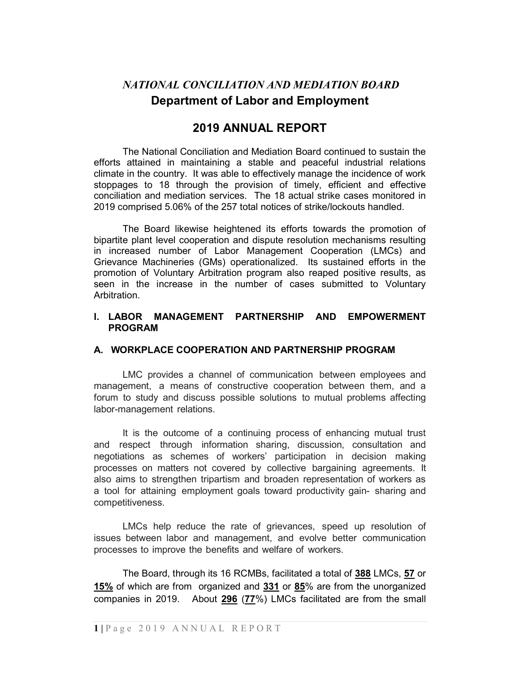# NATIONAL CONCILIATION AND MEDIATION BOARD Department of Labor and Employment

# 2019 ANNUAL REPORT

The National Conciliation and Mediation Board continued to sustain the efforts attained in maintaining a stable and peaceful industrial relations climate in the country. It was able to effectively manage the incidence of work stoppages to 18 through the provision of timely, efficient and effective conciliation and mediation services. The 18 actual strike cases monitored in 2019 comprised 5.06% of the 257 total notices of strike/lockouts handled.

The Board likewise heightened its efforts towards the promotion of bipartite plant level cooperation and dispute resolution mechanisms resulting in increased number of Labor Management Cooperation (LMCs) and Grievance Machineries (GMs) operationalized. Its sustained efforts in the promotion of Voluntary Arbitration program also reaped positive results, as seen in the increase in the number of cases submitted to Voluntary Arbitration.

#### I. LABOR MANAGEMENT PARTNERSHIP AND EMPOWERMENT PROGRAM

#### A. WORKPLACE COOPERATION AND PARTNERSHIP PROGRAM

LMC provides a channel of communication between employees and management, a means of constructive cooperation between them, and a forum to study and discuss possible solutions to mutual problems affecting labor-management relations.

It is the outcome of a continuing process of enhancing mutual trust and respect through information sharing, discussion, consultation and negotiations as schemes of workers' participation in decision making processes on matters not covered by collective bargaining agreements. It also aims to strengthen tripartism and broaden representation of workers as a tool for attaining employment goals toward productivity gain- sharing and competitiveness.

LMCs help reduce the rate of grievances, speed up resolution of issues between labor and management, and evolve better communication processes to improve the benefits and welfare of workers.

The Board, through its 16 RCMBs, facilitated a total of 388 LMCs, 57 or 15% of which are from organized and 331 or 85% are from the unorganized companies in 2019. About 296 (77%) LMCs facilitated are from the small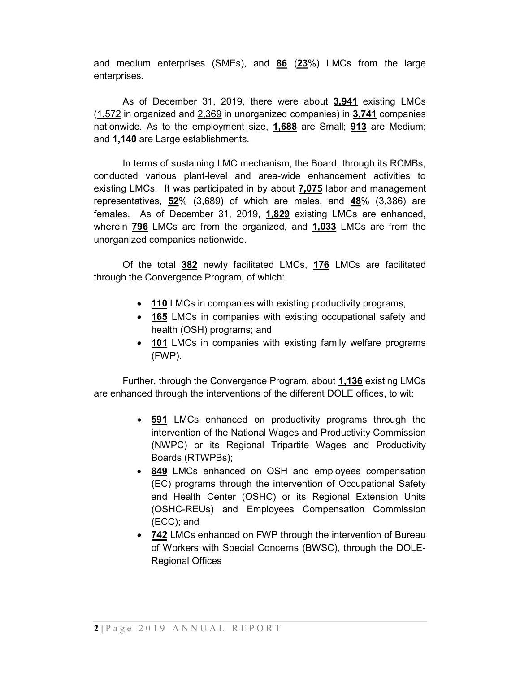and medium enterprises (SMEs), and 86 (23%) LMCs from the large enterprises.

As of December 31, 2019, there were about 3,941 existing LMCs (1,572 in organized and 2,369 in unorganized companies) in 3,741 companies nationwide. As to the employment size, 1,688 are Small; 913 are Medium; and 1,140 are Large establishments.

In terms of sustaining LMC mechanism, the Board, through its RCMBs, conducted various plant-level and area-wide enhancement activities to existing LMCs. It was participated in by about 7,075 labor and management representatives, 52% (3,689) of which are males, and 48% (3,386) are females. As of December 31, 2019, 1.829 existing LMCs are enhanced, wherein **796** LMCs are from the organized, and **1,033** LMCs are from the unorganized companies nationwide.

Of the total 382 newly facilitated LMCs, 176 LMCs are facilitated through the Convergence Program, of which:

- 110 LMCs in companies with existing productivity programs;
- 165 LMCs in companies with existing occupational safety and health (OSH) programs; and
- **101** LMCs in companies with existing family welfare programs (FWP).

Further, through the Convergence Program, about 1,136 existing LMCs are enhanced through the interventions of the different DOLE offices, to wit:

- 591 LMCs enhanced on productivity programs through the intervention of the National Wages and Productivity Commission (NWPC) or its Regional Tripartite Wages and Productivity Boards (RTWPBs);
- 849 LMCs enhanced on OSH and employees compensation (EC) programs through the intervention of Occupational Safety and Health Center (OSHC) or its Regional Extension Units (OSHC-REUs) and Employees Compensation Commission (ECC); and
- 742 LMCs enhanced on FWP through the intervention of Bureau of Workers with Special Concerns (BWSC), through the DOLE-Regional Offices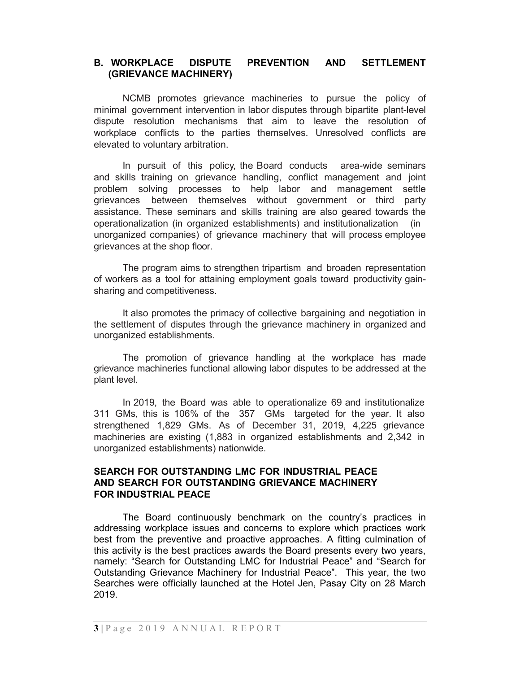#### B. WORKPLACE DISPUTE PREVENTION AND SETTLEMENT (GRIEVANCE MACHINERY)

NCMB promotes grievance machineries to pursue the policy of minimal government intervention in labor disputes through bipartite plant-level dispute resolution mechanisms that aim to leave the resolution of workplace conflicts to the parties themselves. Unresolved conflicts are elevated to voluntary arbitration.

In pursuit of this policy, the Board conducts area-wide seminars and skills training on grievance handling, conflict management and joint problem solving processes to help labor and management settle grievances between themselves without government or third party assistance. These seminars and skills training are also geared towards the operationalization (in organized establishments) and institutionalization (in unorganized companies) of grievance machinery that will process employee grievances at the shop floor.

The program aims to strengthen tripartism and broaden representation of workers as a tool for attaining employment goals toward productivity gainsharing and competitiveness.

It also promotes the primacy of collective bargaining and negotiation in the settlement of disputes through the grievance machinery in organized and unorganized establishments.

The promotion of grievance handling at the workplace has made grievance machineries functional allowing labor disputes to be addressed at the plant level.

In 2019, the Board was able to operationalize 69 and institutionalize 311 GMs, this is 106% of the 357 GMs targeted for the year. It also strengthened 1,829 GMs. As of December 31, 2019, 4,225 grievance machineries are existing (1,883 in organized establishments and 2,342 in unorganized establishments) nationwide.

#### SEARCH FOR OUTSTANDING LMC FOR INDUSTRIAL PEACE AND SEARCH FOR OUTSTANDING GRIEVANCE MACHINERY FOR INDUSTRIAL PEACE

The Board continuously benchmark on the country's practices in addressing workplace issues and concerns to explore which practices work best from the preventive and proactive approaches. A fitting culmination of this activity is the best practices awards the Board presents every two years, namely: "Search for Outstanding LMC for Industrial Peace" and "Search for Outstanding Grievance Machinery for Industrial Peace". This year, the two Searches were officially launched at the Hotel Jen, Pasay City on 28 March 2019.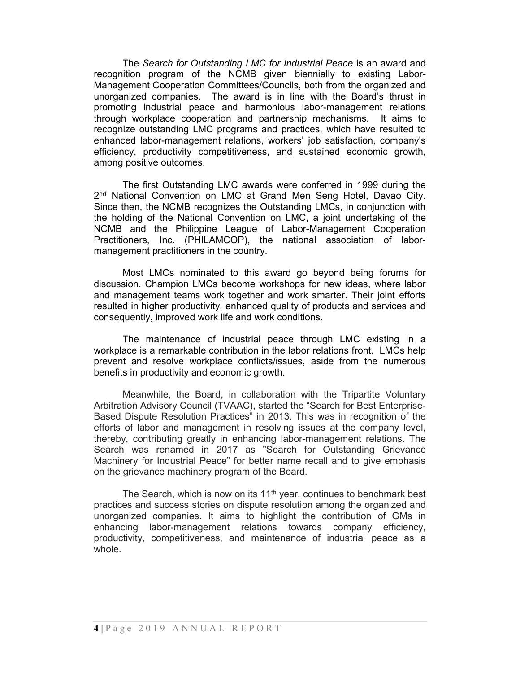The Search for Outstanding LMC for Industrial Peace is an award and recognition program of the NCMB given biennially to existing Labor-Management Cooperation Committees/Councils, both from the organized and unorganized companies. The award is in line with the Board's thrust in promoting industrial peace and harmonious labor-management relations through workplace cooperation and partnership mechanisms. It aims to recognize outstanding LMC programs and practices, which have resulted to enhanced labor-management relations, workers' job satisfaction, company's efficiency, productivity competitiveness, and sustained economic growth, among positive outcomes.

 The first Outstanding LMC awards were conferred in 1999 during the 2<sup>nd</sup> National Convention on LMC at Grand Men Seng Hotel, Davao City. Since then, the NCMB recognizes the Outstanding LMCs, in conjunction with the holding of the National Convention on LMC, a joint undertaking of the NCMB and the Philippine League of Labor-Management Cooperation Practitioners, Inc. (PHILAMCOP), the national association of labormanagement practitioners in the country.

Most LMCs nominated to this award go beyond being forums for discussion. Champion LMCs become workshops for new ideas, where labor and management teams work together and work smarter. Their joint efforts resulted in higher productivity, enhanced quality of products and services and consequently, improved work life and work conditions.

The maintenance of industrial peace through LMC existing in a workplace is a remarkable contribution in the labor relations front. LMCs help prevent and resolve workplace conflicts/issues, aside from the numerous benefits in productivity and economic growth.

Meanwhile, the Board, in collaboration with the Tripartite Voluntary Arbitration Advisory Council (TVAAC), started the "Search for Best Enterprise-Based Dispute Resolution Practices" in 2013. This was in recognition of the efforts of labor and management in resolving issues at the company level, thereby, contributing greatly in enhancing labor-management relations. The Search was renamed in 2017 as "Search for Outstanding Grievance Machinery for Industrial Peace" for better name recall and to give emphasis on the grievance machinery program of the Board.

The Search, which is now on its  $11<sup>th</sup>$  year, continues to benchmark best practices and success stories on dispute resolution among the organized and unorganized companies. It aims to highlight the contribution of GMs in enhancing labor-management relations towards company efficiency, productivity, competitiveness, and maintenance of industrial peace as a whole.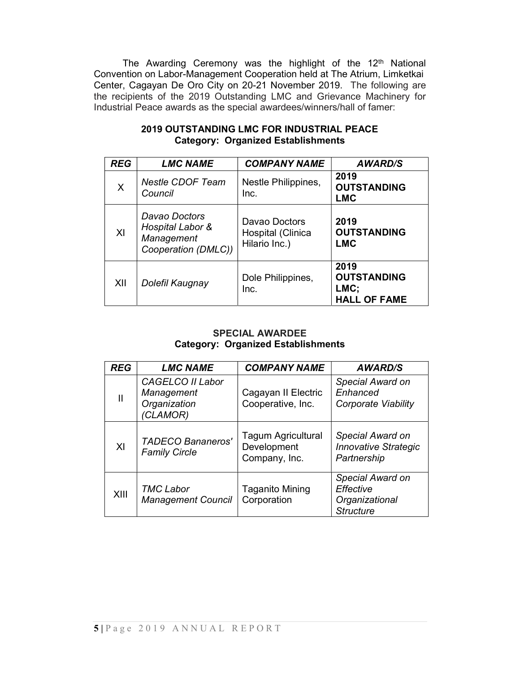The Awarding Ceremony was the highlight of the 12<sup>th</sup> National Convention on Labor-Management Cooperation held at The Atrium, Limketkai Center, Cagayan De Oro City on 20-21 November 2019. The following are the recipients of the 2019 Outstanding LMC and Grievance Machinery for Industrial Peace awards as the special awardees/winners/hall of famer:

| <b>REG</b> | <b>LMC NAME</b>                                                        | <b>COMPANY NAME</b>                                 | <b>AWARD/S</b>                                            |
|------------|------------------------------------------------------------------------|-----------------------------------------------------|-----------------------------------------------------------|
| X          | <b>Nestle CDOF Team</b><br>Council                                     | Nestle Philippines,<br>Inc.                         | 2019<br><b>OUTSTANDING</b><br>LMC                         |
| XI         | Davao Doctors<br>Hospital Labor &<br>Management<br>Cooperation (DMLC)) | Davao Doctors<br>Hospital (Clinica<br>Hilario Inc.) | 2019<br><b>OUTSTANDING</b><br>LMC                         |
| XII        | Dolefil Kaugnay                                                        | Dole Philippines,<br>Inc.                           | 2019<br><b>OUTSTANDING</b><br>LMC;<br><b>HALL OF FAME</b> |

#### 2019 OUTSTANDING LMC FOR INDUSTRIAL PEACE Category: Organized Establishments

#### SPECIAL AWARDEE Category: Organized Establishments

| <b>REG</b> | <b>LMC NAME</b>                                            | <b>COMPANY NAME</b>                                       | <b>AWARD/S</b>                                                      |
|------------|------------------------------------------------------------|-----------------------------------------------------------|---------------------------------------------------------------------|
| Ш          | CAGELCO II Labor<br>Management<br>Organization<br>(CLAMOR) | Cagayan II Electric<br>Cooperative, Inc.                  | Special Award on<br>Enhanced<br>Corporate Viability                 |
| XI         | <b>TADECO Bananeros'</b><br><b>Family Circle</b>           | <b>Tagum Agricultural</b><br>Development<br>Company, Inc. | Special Award on<br><b>Innovative Strategic</b><br>Partnership      |
| XIII       | <b>TMC Labor</b><br><b>Management Council</b>              | <b>Taganito Mining</b><br>Corporation                     | Special Award on<br>Effective<br>Organizational<br><b>Structure</b> |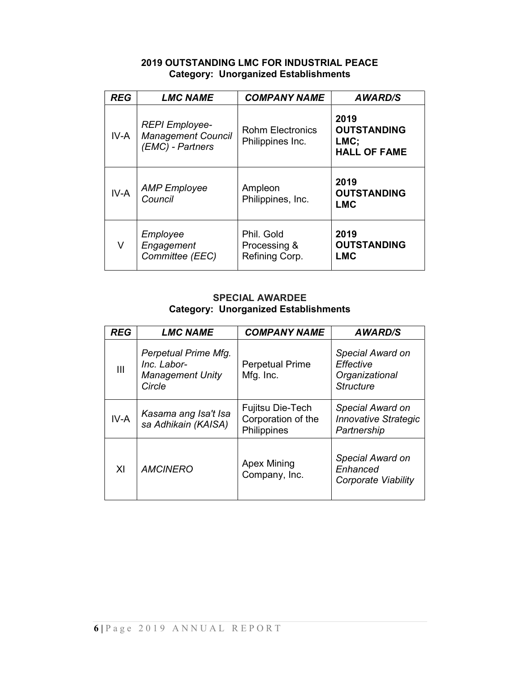## 2019 OUTSTANDING LMC FOR INDUSTRIAL PEACE Category: Unorganized Establishments

| <b>REG</b> | <b>LMC NAME</b>                                                        | <b>COMPANY NAME</b>                          | <b>AWARD/S</b>                                            |
|------------|------------------------------------------------------------------------|----------------------------------------------|-----------------------------------------------------------|
| IV-A       | <b>REPI Employee-</b><br><b>Management Council</b><br>(EMC) - Partners | <b>Rohm Electronics</b><br>Philippines Inc.  | 2019<br><b>OUTSTANDING</b><br>LMC;<br><b>HALL OF FAME</b> |
| $IV-A$     | <b>AMP</b> Employee<br>Council                                         | Ampleon<br>Philippines, Inc.                 | 2019<br><b>OUTSTANDING</b><br><b>LMC</b>                  |
| V          | Employee<br>Engagement<br>Committee (EEC)                              | Phil. Gold<br>Processing &<br>Refining Corp. | 2019<br><b>OUTSTANDING</b><br><b>LMC</b>                  |

#### SPECIAL AWARDEE Category: Unorganized Establishments

| <b>REG</b>     | <b>LMC NAME</b>                                                          | <b>COMPANY NAME</b>                                   | <b>AWARD/S</b>                                                      |
|----------------|--------------------------------------------------------------------------|-------------------------------------------------------|---------------------------------------------------------------------|
| $\mathbf{III}$ | Perpetual Prime Mfg.<br>Inc. Labor-<br><b>Management Unity</b><br>Circle | <b>Perpetual Prime</b><br>Mfg. Inc.                   | Special Award on<br>Effective<br>Organizational<br><b>Structure</b> |
| IV-A           | Kasama ang Isa't Isa<br>sa Adhikain (KAISA)                              | Fujitsu Die-Tech<br>Corporation of the<br>Philippines | Special Award on<br><b>Innovative Strategic</b><br>Partnership      |
| XI             | <b>Apex Mining</b><br><b>AMCINERO</b><br>Company, Inc.                   |                                                       | Special Award on<br>Enhanced<br>Corporate Viability                 |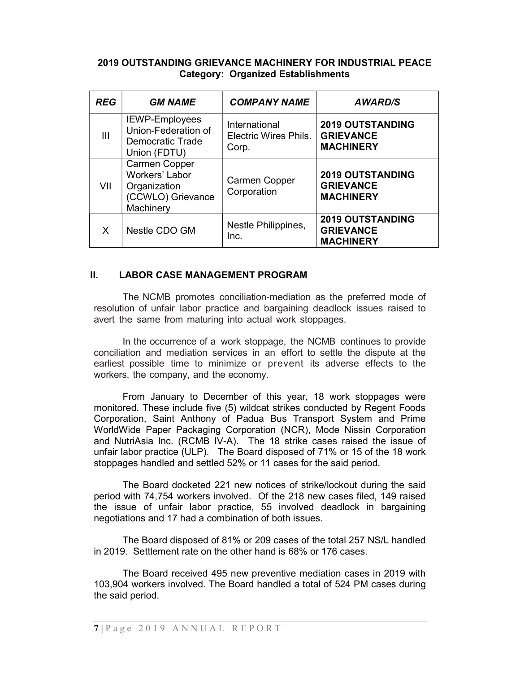#### 2019 OUTSTANDING GRIEVANCE MACHINERY FOR INDUSTRIAL PEACE Category: Organized Establishments

| REG            | <b>GM NAME</b>                                                                           | <b>COMPANY NAME</b>                                    | <b>AWARD/S</b>                                                  |
|----------------|------------------------------------------------------------------------------------------|--------------------------------------------------------|-----------------------------------------------------------------|
| $\mathbf{III}$ | <b>IEWP-Employees</b><br>Union-Federation of<br><b>Democratic Trade</b><br>Union (FDTU)  | International<br><b>Electric Wires Phils.</b><br>Corp. | <b>2019 OUTSTANDING</b><br><b>GRIEVANCE</b><br><b>MACHINERY</b> |
| VII            | <b>Carmen Copper</b><br>Workers' Labor<br>Organization<br>(CCWLO) Grievance<br>Machinery | Carmen Copper<br>Corporation                           | <b>2019 OUTSTANDING</b><br><b>GRIEVANCE</b><br><b>MACHINERY</b> |
| X              | Nestle CDO GM                                                                            | Nestle Philippines,<br>Inc.                            | <b>2019 OUTSTANDING</b><br><b>GRIEVANCE</b><br><b>MACHINERY</b> |

#### II. LABOR CASE MANAGEMENT PROGRAM

The NCMB promotes conciliation-mediation as the preferred mode of resolution of unfair labor practice and bargaining deadlock issues raised to avert the same from maturing into actual work stoppages.

In the occurrence of a work stoppage, the NCMB continues to provide conciliation and mediation services in an effort to settle the dispute at the earliest possible time to minimize or prevent its adverse effects to the workers, the company, and the economy.

From January to December of this year, 18 work stoppages were monitored. These include five (5) wildcat strikes conducted by Regent Foods Corporation, Saint Anthony of Padua Bus Transport System and Prime WorldWide Paper Packaging Corporation (NCR), Mode Nissin Corporation and NutriAsia Inc. (RCMB IV-A). The 18 strike cases raised the issue of unfair labor practice (ULP). The Board disposed of 71% or 15 of the 18 work stoppages handled and settled 52% or 11 cases for the said period.

The Board docketed 221 new notices of strike/lockout during the said period with 74,754 workers involved. Of the 218 new cases filed, 149 raised the issue of unfair labor practice, 55 involved deadlock in bargaining negotiations and 17 had a combination of both issues.

The Board disposed of 81% or 209 cases of the total 257 NS/L handled in 2019. Settlement rate on the other hand is 68% or 176 cases.

The Board received 495 new preventive mediation cases in 2019 with 103,904 workers involved. The Board handled a total of 524 PM cases during the said period.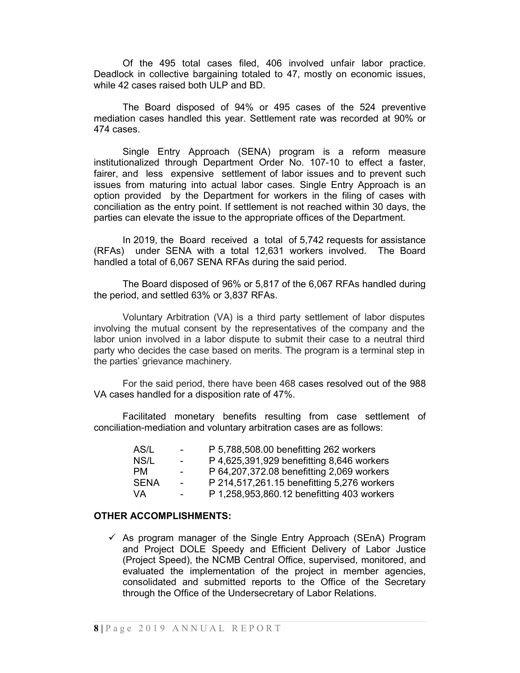Of the 495 total cases filed, 406 involved unfair labor practice. Deadlock in collective bargaining totaled to 47, mostly on economic issues, while 42 cases raised both ULP and BD.

The Board disposed of 94% or 495 cases of the 524 preventive mediation cases handled this year. Settlement rate was recorded at 90% or 474 cases.

Single Entry Approach (SENA) program is a reform measure institutionalized through Department Order No. 107-10 to effect a faster, fairer, and less expensive settlement of labor issues and to prevent such issues from maturing into actual labor cases. Single Entry Approach is an option provided by the Department for workers in the filing of cases with conciliation as the entry point. If settlement is not reached within 30 days, the parties can elevate the issue to the appropriate offices of the Department.

In 2019, the Board received a total of 5,742 requests for assistance (RFAs) under SENA with a total 12,631 workers involved. The Board handled a total of 6,067 SENA RFAs during the said period.

The Board disposed of 96% or 5,817 of the 6,067 RFAs handled during the period, and settled 63% or 3,837 RFAs.

Voluntary Arbitration (VA) is a third party settlement of labor disputes involving the mutual consent by the representatives of the company and the labor union involved in a labor dispute to submit their case to a neutral third party who decides the case based on merits. The program is a terminal step in the parties' grievance machinery.

For the said period, there have been 468 cases resolved out of the 988 VA cases handled for a disposition rate of 47%.

Facilitated monetary benefits resulting from case settlement of conciliation-mediation and voluntary arbitration cases are as follows:

| AS/L        | $\sim$         | P 5,788,508.00 benefitting 262 workers     |
|-------------|----------------|--------------------------------------------|
| NS/L        | $\sim$         | P 4,625,391,929 benefitting 8,646 workers  |
| <b>PM</b>   | $\sim$         | P 64,207,372.08 benefitting 2,069 workers  |
| <b>SENA</b> | <b>Section</b> | P 214,517,261.15 benefitting 5,276 workers |
| VA          | $\blacksquare$ | P 1,258,953,860.12 benefitting 403 workers |

#### OTHER ACCOMPLISHMENTS:

 $\checkmark$  As program manager of the Single Entry Approach (SEnA) Program and Project DOLE Speedy and Efficient Delivery of Labor Justice (Project Speed), the NCMB Central Office, supervised, monitored, and evaluated the implementation of the project in member agencies, consolidated and submitted reports to the Office of the Secretary through the Office of the Undersecretary of Labor Relations.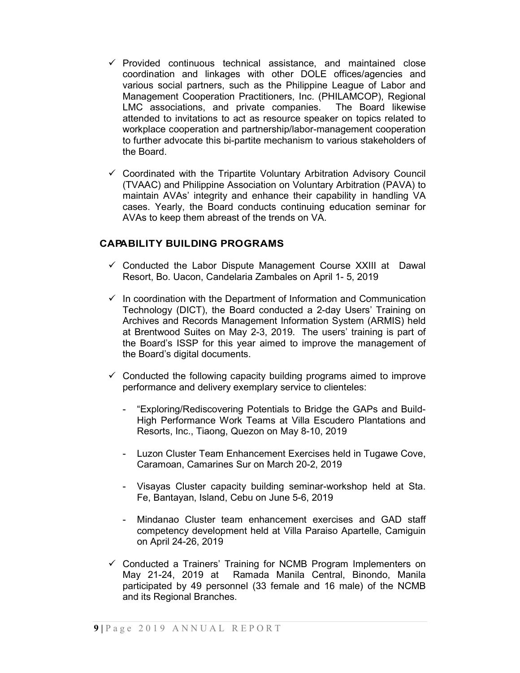- $\checkmark$  Provided continuous technical assistance, and maintained close coordination and linkages with other DOLE offices/agencies and various social partners, such as the Philippine League of Labor and Management Cooperation Practitioners, Inc. (PHILAMCOP), Regional LMC associations, and private companies. The Board likewise attended to invitations to act as resource speaker on topics related to workplace cooperation and partnership/labor-management cooperation to further advocate this bi-partite mechanism to various stakeholders of the Board.
- $\checkmark$  Coordinated with the Tripartite Voluntary Arbitration Advisory Council (TVAAC) and Philippine Association on Voluntary Arbitration (PAVA) to maintain AVAs' integrity and enhance their capability in handling VA cases. Yearly, the Board conducts continuing education seminar for AVAs to keep them abreast of the trends on VA.

## CAPABILITY BUILDING PROGRAMS

- $\checkmark$  Conducted the Labor Dispute Management Course XXIII at Dawal Resort, Bo. Uacon, Candelaria Zambales on April 1- 5, 2019
- $\checkmark$  In coordination with the Department of Information and Communication Technology (DICT), the Board conducted a 2-day Users' Training on Archives and Records Management Information System (ARMIS) held at Brentwood Suites on May 2-3, 2019. The users' training is part of the Board's ISSP for this year aimed to improve the management of the Board's digital documents.
- $\checkmark$  Conducted the following capacity building programs aimed to improve performance and delivery exemplary service to clienteles:
	- "Exploring/Rediscovering Potentials to Bridge the GAPs and Build-High Performance Work Teams at Villa Escudero Plantations and Resorts, Inc., Tiaong, Quezon on May 8-10, 2019
	- Luzon Cluster Team Enhancement Exercises held in Tugawe Cove, Caramoan, Camarines Sur on March 20-2, 2019
	- Visayas Cluster capacity building seminar-workshop held at Sta. Fe, Bantayan, Island, Cebu on June 5-6, 2019
	- Mindanao Cluster team enhancement exercises and GAD staff competency development held at Villa Paraiso Apartelle, Camiguin on April 24-26, 2019
- $\checkmark$  Conducted a Trainers' Training for NCMB Program Implementers on May 21-24, 2019 at Ramada Manila Central, Binondo, Manila participated by 49 personnel (33 female and 16 male) of the NCMB and its Regional Branches.